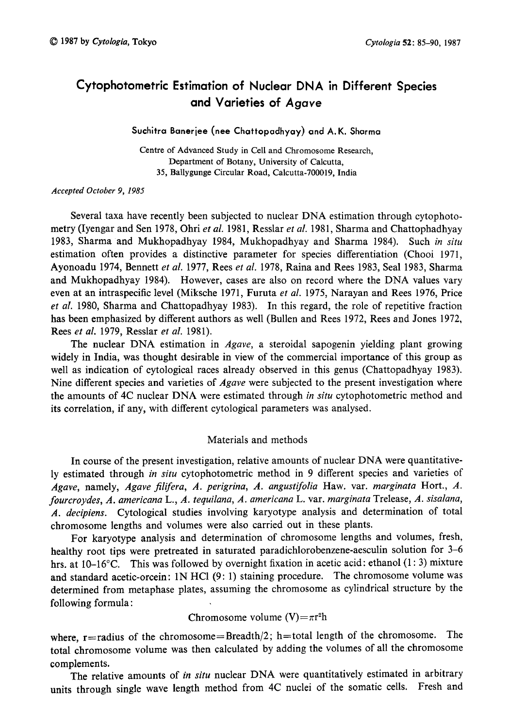# Cytophotometric Estimation of Nuclear DNA in Different Species and Varieties of Agave

## Suchitra Banerjee (nee Chattopadhyay) and A. K. Sharma

Centre of Advanced Study in Cell and Chromosome Research, Department of Botany, University of Calcutta, 35, Ballygunge Circular Road, Calcutta-700019, India

#### Accepted October 9, 1985

Several taxa have recently been subjected to nuclear DNA estimation through cytophoto metry (Iyengar and Sen 1978, Ohri *et al.* 1981, Resslar *et al.* 1981, Sharma and Chattophadhyay 1983, Sharma and Mukhopadhyay 1984, Mukhopadhyay and Sharma 1984). Such in situ estimation often provides a distinctive parameter for species differentiation (Chooi 1971, Ayonoadu 1974, Bennett et al. 1977, Rees et al. 1978, Raina and Rees 1983, Seal 1983, Sharma and Mukhopadhyay 1984). However, cases are also on record where the DNA values vary even at an intraspecific level (Miksche 1971, Furuta et al. 1975, Narayan and Rees 1976, Price et al. 1980, Sharma and Chattopadhyay 1983). In this regard, the role of repetitive fraction has been emphasized by different authors as well (Bullen and Rees 1972, Rees and Jones 1972, Rees et al. 1979, Resslar et al. 1981).

The nuclear DNA estimation in *Agave*, a steroidal sapogenin yielding plant growing widely in India, was thought desirable in view of the commercial importance of this group as well as indication of cytological races already observed in this genus (Chattopadhyay 1983). Nine different species and varieties of *Agave* were subjected to the present investigation where the amounts of 4C nuclear DNA were estimated through in *situ* cytophotometric method and its correlation, if any, with different cytological parameters was analysed.

# Materials and methods

In course of the present investigation, relative amounts of nuclear DNA were quantitative ly estimated through in situ cytophotometric method in 9 different species and varieties of Agave, namely, Agave filifera, A. perigrina, A. angustifolia Haw. var. marginata Hort., A. fourcroydes, A. americana L., A. tequilana, A. americana L. var. marginata Trelease, A. sisalana, A. decipiens. Cytological studies involving karyotype analysis and determination of total chromosome lengths and volumes were also carried out in these plants.

For karyotype analysis and determination of chromosome lengths and volumes, fresh, healthy root tips were pretreated in saturated paradichlorobenzene-aesculin solution for 3-6 hrs. at 10-16°C. This was followed by overnight fixation in acetic acid: ethanol (1:3) mixture and standard acetic-orcein: IN HCl (9:1) staining procedure. The chromosome volume was determined from metaphase plates, assuming the chromosome as cylindrical structure by the following formula:

Chromosome volume (V)= $\pi r^2h$ 

where,  $r=$  radius of the chromosome= $Breadth/2$ ; h=total length of the chromosome. The total chromosome volume was then calculated by adding the volumes of all the chromosome complements.

The relative amounts of in situ nuclear DNA were quantitatively estimated in arbitrary units through single wave length method from 4C nuclei of the somatic cells. Fresh and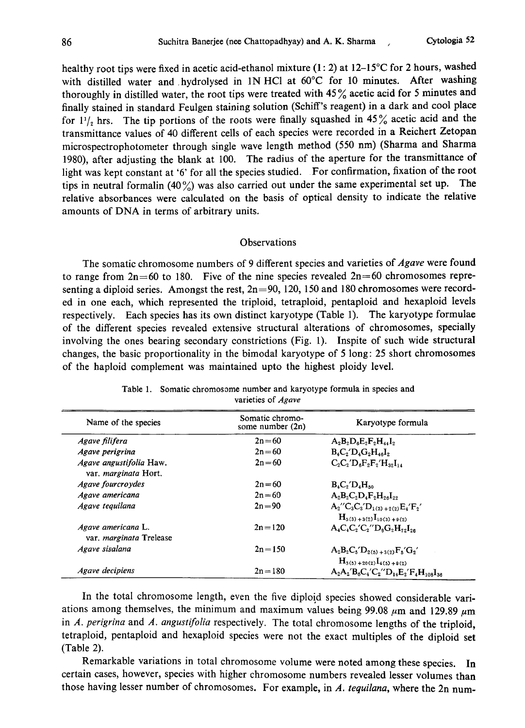healthy root tips were fixed in acetic acid-ethanol mixture  $(1:2)$  at  $12-15^{\circ}$ C for 2 hours, washed with distilled water and hydrolysed in 1N HCl at 60°C for 10 minutes. After washing thoroughly in distilled water, the root tips were treated with  $45\%$  acetic acid for 5 minutes and finally stained in standard Feulgen staining solution (Schiff's reagent) in a dark and cool place for  $1\frac{1}{2}$  hrs. The tip portions of the roots were finally squashed in 45% acetic acid and the transmittance values of 40 different cells of each species were recorded in a Reichert Zetopan microspectrophotometer through single wave length method (550nm) (Sharma and Sharma 1980), after adjusting the blank at 100. The radius of the aperture for the transmittance of light was kept constant at '6' for all the species studied. For confirmation, fixation of the root tips in neutral formalin (40%) was also carried out under the same experimental set up. The relative absorbances were calculated on the basis of optical density to indicate the relative amounts of DNA in terms of arbitrary units.

## Observations

The somatic chromosome numbers of 9 different species and varieties of *Agave* were found to range from  $2n=60$  to 180. Five of the nine species revealed  $2n=60$  chromosomes representing a diploid series. Amongst the rest,  $2n=90$ , 120, 150 and 180 chromosomes were recorded in one each, which represented the triploid, tetraploid, pentaploid and hexaploid levels respectively. Each species has its own distinct karyotype (Table 1). The karyotype formulae of the different species revealed extensive structural alterations of chromosomes, specially involving the ones bearing secondary constrictions (Fig. 1). Inspite of such wide structural changes, the basic proportionality in the bimodal karyotype of 5 long: 25 short chromosomes of the haploid complement was maintained upto the highest ploidy level.

| Name of the species                                  | Somatic chromo-<br>some number (2n) | Karyotype formula                                                    |
|------------------------------------------------------|-------------------------------------|----------------------------------------------------------------------|
| Agave filifera                                       | $2n = 60$                           | $A_2B_2D_3E_2F_2H_{44}I_2$                                           |
| Agave perigrina                                      | $2n = 60$                           | $B_4C_2/D_4G_3H_{4A}I_2$                                             |
| Agave angustifolia Haw.<br>var. marginata Hort.      | $2n = 60$                           | $C_2C_2'D_4F_2F_2'H_{32}I_{14}$                                      |
| Agave fourcroydes                                    | $2n = 60$                           | $B_4C_2'D_4H_{50}$                                                   |
| Agave americana                                      | $2n = 60$                           | $A_2B_2C_2D_4F_2H_{26}I_{22}$                                        |
| Agave teauilana                                      | $2n = 90$                           | $A_2''C_3C_3'D_{1(3)+2(2)}E_4'F_2'$<br>$H_{5(3)+3(2)}I_{10(3)+9(2)}$ |
| Agave americana L.<br>var, <i>marginata</i> Trelease | $2n = 120$                          | $A_4C_4C_2'C_2''D_8G_2H_{72}I_{28}$                                  |
| Agave sisalana                                       | $2n = 150$                          | $A_2B_2C_5/D_{2(5)+3(2)}F_5/G_2'$<br>$H_{3(5)+20(2)}I_{4(5)+9(2)}$   |
| Agave decipiens                                      | $2n = 180$                          | $A_2A_2'B_6C_4'C_2''D_{14}E_2'F_4H_{108}I_{36}$                      |

| Table 1. Somatic chromosome number and karyotype formula in species and |
|-------------------------------------------------------------------------|
| varieties of <i>Agave</i>                                               |

In the total chromosome length, even the five diploid species showed considerable vari ations among themselves, the minimum and maximum values being 99.08  $\mu$ m and 129.89  $\mu$ m in  $A$ . perigrina and  $A$ . angustifolia respectively. The total chromosome lengths of the triploid, tetraploid, pentaploid and hexaploid species were not the exact multiples of the diploid set (Table 2).

Remarkable variations in total chromosome volume were noted among these species. In certain cases, however, species with higher chromosome numbers revealed lesser volumes than those having lesser number of chromosomes. For example, in A. tequilana, where the 2n num-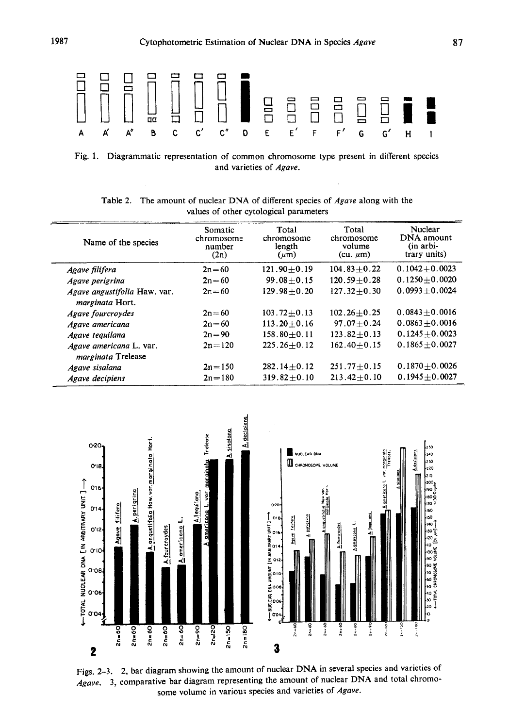

Fig. 1. Diagrammatic representation of common chromosome type present in different species and varieties of Agave.

| Name of the species                                    | Somatic<br>chromosome<br>number<br>(2n) | Total<br>chromosome<br>length<br>$(\mu m)$ | Total<br>chromosome<br>volume<br>$(cu. \mu m)$ | Nuclear<br>DNA amount<br>$(in artbi-$<br>trary units) |
|--------------------------------------------------------|-----------------------------------------|--------------------------------------------|------------------------------------------------|-------------------------------------------------------|
| Agave filifera                                         | $2n = 60$                               | $121.90 + 0.19$                            | $104.83 \pm 0.22$                              | $0.1042 + 0.0023$                                     |
| Agave perigrina                                        | $2n = 60$                               | $99.08 + 0.15$                             | $120.59 + 0.28$                                | $0.1250 + 0.0020$                                     |
| Agave angustifolia Haw. var.<br><i>marginata</i> Hort. | $2n = 60$                               | $129.98 + 0.20$                            | $127.32 + 0.30$                                | $0.0993 + 0.0024$                                     |
| <b>Agave fourcroydes</b>                               | $2n = 60$                               | $103.72 + 0.13$                            | $102.26 + 0.25$                                | $0.0843 + 0.0016$                                     |
| Agave americana                                        | $2n = 60$                               | $113.20 + 0.16$                            | $97.07 + 0.24$                                 | $0.0863 + 0.0016$                                     |
| Agave tequilana                                        | $2n = 90$                               | $158.80 + 0.11$                            | $123.82 \pm 0.13$                              | $0.1245 + 0.0023$                                     |
| Agave americana L. var.<br><i>marginata</i> Trelease   | $2n = 120$                              | $225.26 + 0.12$                            | $162.40 + 0.15$                                | $0.1865 + 0.0027$                                     |
| Agave sisalana                                         | $2n = 150$                              | $282.14 + 0.12$                            | $251.77 + 0.15$                                | $0.1870 + 0.0026$                                     |
| Agave decipiens                                        | $2n = 180$                              | $319.82 + 0.10$                            | $213.42 + 0.10$                                | $0.1945 \pm 0.0027$                                   |

Table 2. The amount of nuclear DNA of different species of Agave along with the values of other cytological parameters



Figs. 2-3. 2, bar diagram showing the amount of nuclear DNA in several species and varieties of Agave. 3, comparative bar diagram representing the amount of nuclear DNA and total chromo some volume in various species and varieties of Agave.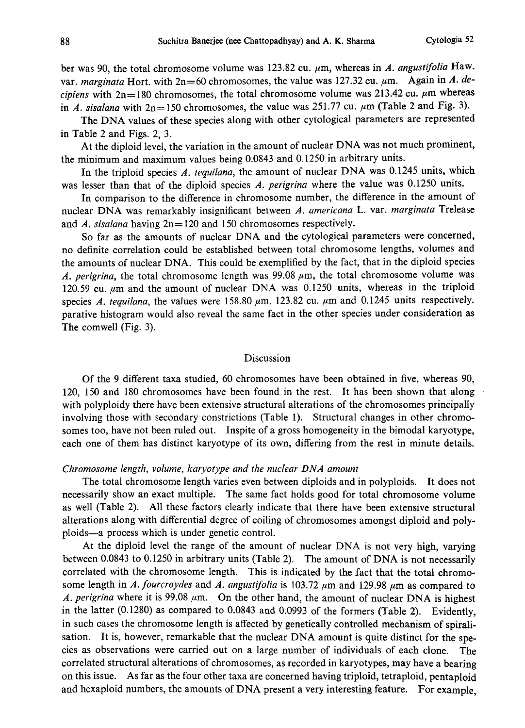ber was 90, the total chromosome volume was 123.82 cu.  $\mu$ m, whereas in A. angustifolia Haw. var. marginata Hort. with  $2n=60$  chromosomes, the value was 127.32 cu.  $\mu$ m. Again in A. decipiens with  $2n=180$  chromosomes, the total chromosome volume was 213.42 cu.  $\mu$ m whereas in A. sisalana with  $2n=150$  chromosomes, the value was 251.77 cu.  $\mu$ m (Table 2 and Fig. 3).

The DNA values of these species along with other cytological parameters are represented in Table 2 and Figs. 2, 3.

At the diploid level, the variation in the amount of nuclear DNA was not much prominent, the minimum and maximum values being 0.0843 and 0.1250 in arbitrary units.

In the triploid species A. tequilana, the amount of nuclear DNA was 0.1245 units, which was lesser than that of the diploid species A. perigrina where the value was 0.1250 units.

In comparison to the difference in chromosome number, the difference in the amount of nuclear DNA was remarkably insignificant between A. americana L. var. marginata Trelease and A. sisalana having  $2n=120$  and 150 chromosomes respectively.

So far as the amounts of nuclear DNA and the cytological parameters were concerned, no definite correlation could be established between total chromosome lengths, volumes and the amounts of nuclear DNA. This could be exemplified by the fact, that in the diploid species A. perigrina, the total chromosome length was  $99.08 \mu m$ , the total chromosome volume was 120.59 cu.  $\mu$ m and the amount of nuclear DNA was 0.1250 units, whereas in the triploid species A. tequilana, the values were 158.80  $\mu$ m, 123.82 cu.  $\mu$ m and 0.1245 units respectively. parative histogram would also reveal the same fact in the other species under consideration as The comwell (Fig. 3).

#### Discussion

Of the 9 different taxa studied, 60 chromosomes have been obtained in five, whereas 90, 120, 150 and 180 chromosomes have been found in the rest. It has been shown that along with polyploidy there have been extensive structural alterations of the chromosomes principally involving those with secondary constrictions (Table 1). Structural changes in other chromo somes too, have not been ruled out. Inspite of a gross homogeneity in the bimodal karyotype, each one of them has distinct karyotype of its own, differing from the rest in minute details.

## Chromosome length, volume, karyotype and the nuclear DNA amount

The total chromosome length varies even between diploids and in polyploids. It does not necessarily show an exact multiple. The same fact holds good for total chromosome volume as well (Table 2). All these factors clearly indicate that there have been extensive structural alterations along with differential degree of coiling of chromosomes amongst diploid and poly ploids-a process which is under genetic control.

At the diploid level the range of the amount of nuclear DNA is not very high, varying between 0.0843 to 0.1250 in arbitrary units (Table 2). The amount of DNA is not necessarily correlated with the chromosome length. This is indicated by the fact that the total chromo some length in A. fourcroydes and A. angustifolia is 103.72  $\mu$ m and 129.98  $\mu$ m as compared to A. perigrina where it is 99.08  $\mu$ m. On the other hand, the amount of nuclear DNA is highest in the latter (0.1280) as compared to 0.0843 and 0.0993 of the formers (Table 2). Evidently, in such cases the chromosome length is affected by genetically controlled mechanism of spirali sation. It is, however, remarkable that the nuclear DNA amount is quite distinct for the spe cies as observations were carried out on a large number of individuals of each clone. The correlated structural alterations of chromosomes, as recorded in karyotypes, may have a bearing on this issue. As far as the four other taxa are concerned having triploid, tetraploid, pentaploid and hexaploid numbers, the amounts of DNA present a very interesting feature. For example,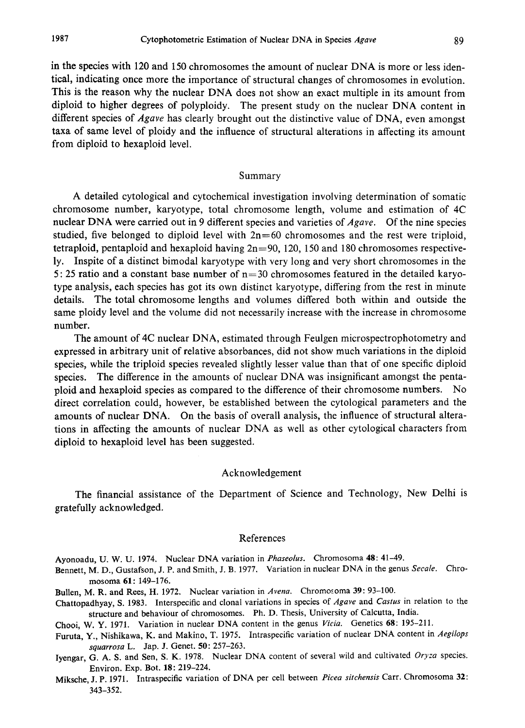in the species with 120 and 150 chromosomes the amount of nuclear DNA is more or less iden tical, indicating once more the importance of structural changes of chromosomes in evolution. This is the reason why the nuclear DNA does not show an exact multiple in its amount from diploid to higher degrees of polyploidy. The present study on the nuclear DNA content in different species of *Agave* has clearly brought out the distinctive value of DNA, even amongst taxa of same level of ploidy and the influence of structural alterations in affecting its amount from diploid to hexaploid level.

## Summary

A detailed cytological and cytochemical investigation involving determination of somatic chromosome number, karyotype, total chromosome length, volume and estimation of 4C nuclear DNA were carried out in 9 different species and varieties of Agave. Of the nine species studied, five belonged to diploid level with  $2n=60$  chromosomes and the rest were triploid, tetraploid, pentaploid and hexaploid having  $2n=90$ , 120, 150 and 180 chromosomes respectively. Inspite of a distinct bimodal karyotype with very long and very short chromosomes in the 5:25 ratio and a constant base number of  $n=30$  chromosomes featured in the detailed karyotype analysis, each species has got its own distinct karyotype, differing from the rest in minute details. The total chromosome lengths and volumes differed both within and outside the same ploidy level and the volume did not necessarily increase with the increase in chromosome number.

The amount of 4C nuclear DNA, estimated through Feulgen microspectrophotometry and expressed in arbitrary unit of relative absorbances, did not show much variations in the diploid species, while the triploid species revealed slightly lesser value than that of one specific diploid species. The difference in the amounts of nuclear DNA was insignificant amongst the penta ploid and hexaploid species as compared to the difference of their chromosome numbers. No direct correlation could, however, be established between the cytological parameters and the amounts of nuclear DNA. On the basis of overall analysis, the influence of structural altera tions in affecting the amounts of nuclear DNA as well as other cytological characters from diploid to hexaploid level has been suggested.

## Acknowledgement

The financial assistance of the Department of Science and Technology, New Delhi is gratefully acknowledged.

## References

- Ayonoadu, U. W. U. 1974. Nuclear DNA variation in Phaseolus. Chromosoma 48: 41-49.
- Bennett, M. D., Gustafson, J. P. and Smith, J. B. 1977. Variation in nuclear DNA in the genus Secale. Chromosoma 61: 149-176.
- Bullen, M. R. and Rees, H. 1972. Nuclear variation in Avena. Chromosoma 39: 93-100.
- Chattopadhyay, S. 1983. Interspecific and clonal variations in species of Agave and Castus in relation to the structure and behaviour of chromosomes. Ph. D. Thesis, University of Calcutta, India.
- Chooi, W. Y. 1971. Variation in nuclear DNA content in the genus Vicia. Genetics 68: 195-211.
- Furuta, Y., Nishikawa, K. and Makino, T. 1975. Intraspecific variation of nuclear DNA content in Aegilops squarrosa L. Jap. J. Genet. 50: 257-263.
- Iyengar, G. A. S. and Sen, S. K. 1978. Nuclear DNA content of several wild and cultivated Oryza species. Environ. Exp. Bot. 18: 219-224.

Miksche, J. P. 1971. Intraspecific variation of DNA per cell between Picea sitchensis Carr. Chromosoma 32: 343-352.